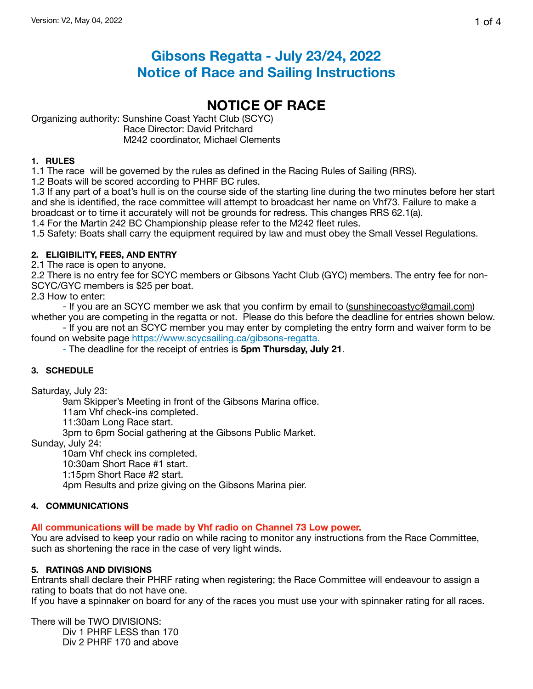# **Gibsons Regatta - July 23/24, 2022 Notice of Race and Sailing Instructions**

# **NOTICE OF RACE**

Organizing authority: Sunshine Coast Yacht Club (SCYC) Race Director: David Pritchard M242 coordinator, Michael Clements

## **1. RULES**

1.1 The race will be governed by the rules as defined in the Racing Rules of Sailing (RRS).

1.2 Boats will be scored according to PHRF BC rules.

1.3 If any part of a boat's hull is on the course side of the starting line during the two minutes before her start and she is identified, the race committee will attempt to broadcast her name on Vhf73. Failure to make a broadcast or to time it accurately will not be grounds for redress. This changes RRS 62.1(a).

1.4 For the Martin 242 BC Championship please refer to the M242 fleet rules.

1.5 Safety: Boats shall carry the equipment required by law and must obey the Small Vessel Regulations.

## **2. ELIGIBILITY, FEES, AND ENTRY**

2.1 The race is open to anyone.

2.2 There is no entry fee for SCYC members or Gibsons Yacht Club (GYC) members. The entry fee for non-SCYC/GYC members is \$25 per boat.

2.3 How to enter:

- If you are an SCYC member we ask that you confirm by email to [\(sunshinecoastyc@gmail.com\)](mailto:sunshinecoastyc@gmail.com) whether you are competing in the regatta or not. Please do this before the deadline for entries shown below.

- If you are not an SCYC member you may enter by completing the entry form and waiver form to be found on website page https://www.scycsailing.ca/gibsons-regatta.

- The deadline for the receipt of entries is **5pm Thursday, July 21**.

## **3. SCHEDULE**

Saturday, July 23:

9am Skipper's Meeting in front of the Gibsons Marina office.

11am Vhf check-ins completed.

11:30am Long Race start.

3pm to 6pm Social gathering at the Gibsons Public Market.

Sunday, July 24:

10am Vhf check ins completed.

10:30am Short Race #1 start.

1:15pm Short Race #2 start.

4pm Results and prize giving on the Gibsons Marina pier.

## **4. COMMUNICATIONS**

## **All communications will be made by Vhf radio on Channel 73 Low power.**

You are advised to keep your radio on while racing to monitor any instructions from the Race Committee, such as shortening the race in the case of very light winds.

## **5. RATINGS AND DIVISIONS**

Entrants shall declare their PHRF rating when registering; the Race Committee will endeavour to assign a rating to boats that do not have one.

If you have a spinnaker on board for any of the races you must use your with spinnaker rating for all races.

There will be TWO DIVISIONS: Div 1 PHRF LESS than 170 Div 2 PHRF 170 and above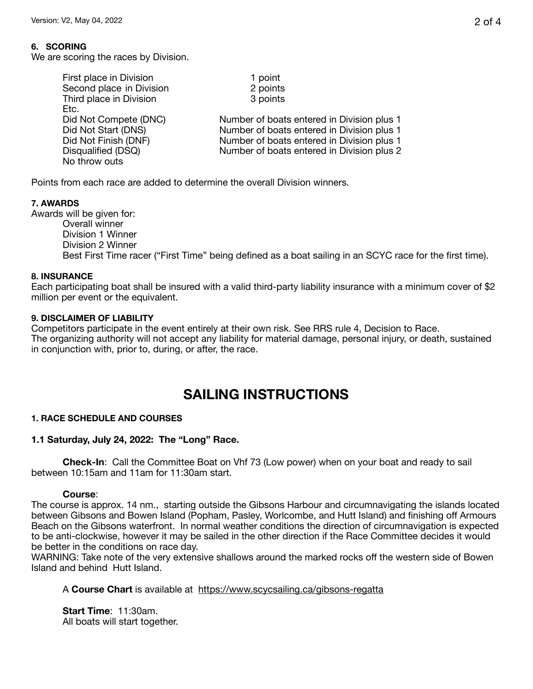## **6. SCORING**

We are scoring the races by Division.

| First place in Division  | 1 point                                    |  |
|--------------------------|--------------------------------------------|--|
| Second place in Division | 2 points                                   |  |
| Third place in Division  | 3 points                                   |  |
| Etc.                     |                                            |  |
| Did Not Compete (DNC)    | Number of boats entered in Division plus 1 |  |
| Did Not Start (DNS)      | Number of boats entered in Division plus 1 |  |
| Did Not Finish (DNF)     | Number of boats entered in Division plus 1 |  |
| Disqualified (DSQ)       | Number of boats entered in Division plus 2 |  |
| No throw outs            |                                            |  |
|                          |                                            |  |

Points from each race are added to determine the overall Division winners.

## **7. AWARDS**

Awards will be given for: Overall winner Division 1 Winner Division 2 Winner Best First Time racer ("First Time" being defined as a boat sailing in an SCYC race for the first time).

## **8. INSURANCE**

Each participating boat shall be insured with a valid third-party liability insurance with a minimum cover of \$2 million per event or the equivalent.

## **9. DISCLAIMER OF LIABILITY**

Competitors participate in the event entirely at their own risk. See RRS rule 4, Decision to Race. The organizing authority will not accept any liability for material damage, personal injury, or death, sustained in conjunction with, prior to, during, or after, the race.

# **SAILING INSTRUCTIONS**

## **1. RACE SCHEDULE AND COURSES**

## **1.1 Saturday, July 24, 2022: The "Long" Race.**

**Check-In**: Call the Committee Boat on Vhf 73 (Low power) when on your boat and ready to sail between 10:15am and 11am for 11:30am start.

## **Course**:

The course is approx. 14 nm., starting outside the Gibsons Harbour and circumnavigating the islands located between Gibsons and Bowen Island (Popham, Pasley, Worlcombe, and Hutt Island) and finishing off Armours Beach on the Gibsons waterfront. In normal weather conditions the direction of circumnavigation is expected to be anti-clockwise, however it may be sailed in the other direction if the Race Committee decides it would be better in the conditions on race day.

WARNING: Take note of the very extensive shallows around the marked rocks off the western side of Bowen Island and behind Hutt Island.

A **Course Chart** is available at <https://www.scycsailing.ca/gibsons-regatta>

**Start Time**: 11:30am. All boats will start together.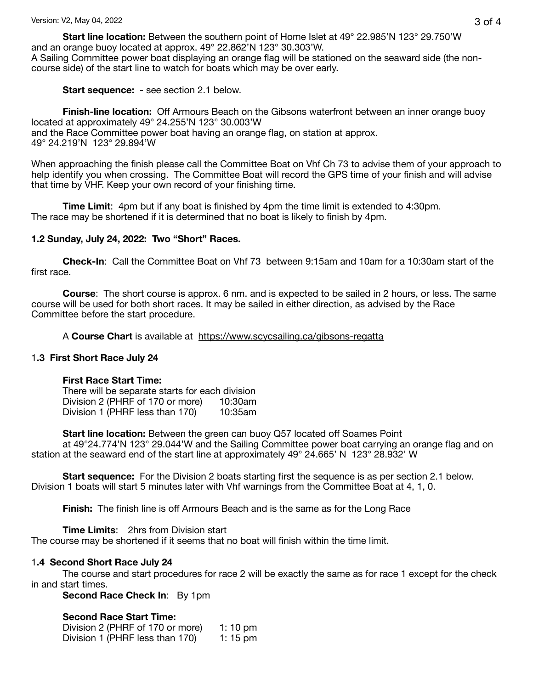**Start line location:** Between the southern point of Home Islet at 49° 22.985'N 123° 29.750'W and an orange buoy located at approx. 49° 22.862'N 123° 30.303'W.

A Sailing Committee power boat displaying an orange flag will be stationed on the seaward side (the noncourse side) of the start line to watch for boats which may be over early.

**Start sequence:** - see section 2.1 below.

**Finish-line location:** Off Armours Beach on the Gibsons waterfront between an inner orange buoy located at approximately 49° 24.255'N 123° 30.003'W and the Race Committee power boat having an orange flag, on station at approx. 49° 24.219'N 123° 29.894'W

When approaching the finish please call the Committee Boat on Vhf Ch 73 to advise them of your approach to help identify you when crossing. The Committee Boat will record the GPS time of your finish and will advise that time by VHF. Keep your own record of your finishing time.

**Time Limit**: 4pm but if any boat is finished by 4pm the time limit is extended to 4:30pm. The race may be shortened if it is determined that no boat is likely to finish by 4pm.

## **1.2 Sunday, July 24, 2022: Two "Short" Races.**

**Check-In**: Call the Committee Boat on Vhf 73 between 9:15am and 10am for a 10:30am start of the first race.

**Course**: The short course is approx. 6 nm. and is expected to be sailed in 2 hours, or less. The same course will be used for both short races. It may be sailed in either direction, as advised by the Race Committee before the start procedure.

#### A **Course Chart** is available at <https://www.scycsailing.ca/gibsons-regatta>

## 1**.3 First Short Race July 24**

#### **First Race Start Time:**

There will be separate starts for each division<br>Division 2 (PHRF of 170 or more) 10:30am Division 2 (PHRF of 170 or more) 10:30am<br>Division 1 (PHRF less than 170) 10:35am Division 1 (PHRF less than 170)

**Start line location:** Between the green can buoy Q57 located off Soames Point

at 49°24.774'N 123° 29.044'W and the Sailing Committee power boat carrying an orange flag and on station at the seaward end of the start line at approximately 49° 24.665' N 123° 28.932' W

**Start sequence:** For the Division 2 boats starting first the sequence is as per section 2.1 below. Division 1 boats will start 5 minutes later with Vhf warnings from the Committee Boat at 4, 1, 0.

**Finish:** The finish line is off Armours Beach and is the same as for the Long Race

**Time Limits**: 2hrs from Division start

The course may be shortened if it seems that no boat will finish within the time limit.

## 1**.4 Second Short Race July 24**

The course and start procedures for race 2 will be exactly the same as for race 1 except for the check in and start times.

**Second Race Check In: By 1pm** 

## **Second Race Start Time:**

Division 2 (PHRF of 170 or more) 1: 10 pm Division 1 (PHRF less than 170) 1: 15 pm